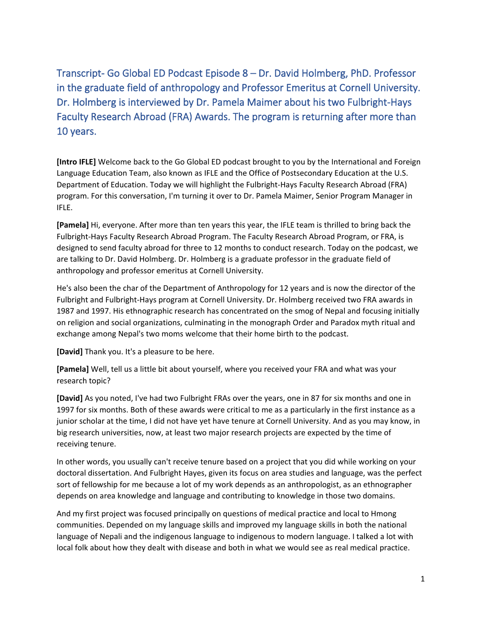Transcript- Go Global ED Podcast Episode 8 – Dr. David Holmberg, PhD. Professor in the graduate field of anthropology and Professor Emeritus at Cornell University. Dr. Holmberg is interviewed by Dr. Pamela Maimer about his two Fulbright-Hays Faculty Research Abroad (FRA) Awards. The program is returning after more than 10 years.

**[Intro IFLE]** Welcome back to the Go Global ED podcast brought to you by the International and Foreign Language Education Team, also known as IFLE and the Office of Postsecondary Education at the U.S. Department of Education. Today we will highlight the Fulbright-Hays Faculty Research Abroad (FRA) program. For this conversation, I'm turning it over to Dr. Pamela Maimer, Senior Program Manager in IFLE.

**[Pamela]** Hi, everyone. After more than ten years this year, the IFLE team is thrilled to bring back the Fulbright-Hays Faculty Research Abroad Program. The Faculty Research Abroad Program, or FRA, is designed to send faculty abroad for three to 12 months to conduct research. Today on the podcast, we are talking to Dr. David Holmberg. Dr. Holmberg is a graduate professor in the graduate field of anthropology and professor emeritus at Cornell University.

He's also been the char of the Department of Anthropology for 12 years and is now the director of the Fulbright and Fulbright-Hays program at Cornell University. Dr. Holmberg received two FRA awards in 1987 and 1997. His ethnographic research has concentrated on the smog of Nepal and focusing initially on religion and social organizations, culminating in the monograph Order and Paradox myth ritual and exchange among Nepal's two moms welcome that their home birth to the podcast.

**[David]** Thank you. It's a pleasure to be here.

**[Pamela]** Well, tell us a little bit about yourself, where you received your FRA and what was your research topic?

**[David]** As you noted, I've had two Fulbright FRAs over the years, one in 87 for six months and one in 1997 for six months. Both of these awards were critical to me as a particularly in the first instance as a junior scholar at the time, I did not have yet have tenure at Cornell University. And as you may know, in big research universities, now, at least two major research projects are expected by the time of receiving tenure.

In other words, you usually can't receive tenure based on a project that you did while working on your doctoral dissertation. And Fulbright Hayes, given its focus on area studies and language, was the perfect sort of fellowship for me because a lot of my work depends as an anthropologist, as an ethnographer depends on area knowledge and language and contributing to knowledge in those two domains.

And my first project was focused principally on questions of medical practice and local to Hmong communities. Depended on my language skills and improved my language skills in both the national language of Nepali and the indigenous language to indigenous to modern language. I talked a lot with local folk about how they dealt with disease and both in what we would see as real medical practice.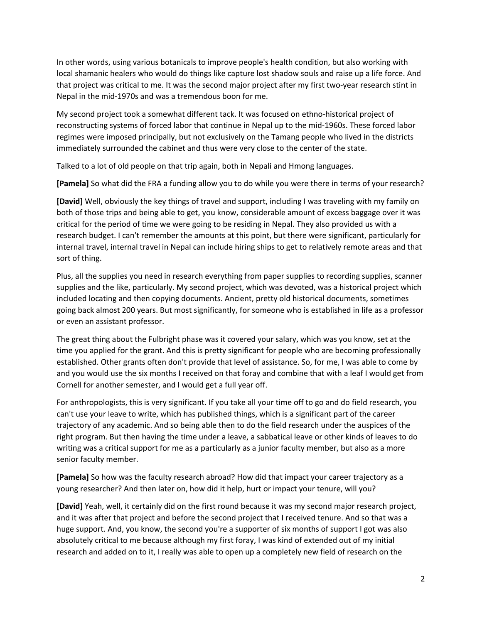In other words, using various botanicals to improve people's health condition, but also working with local shamanic healers who would do things like capture lost shadow souls and raise up a life force. And that project was critical to me. It was the second major project after my first two-year research stint in Nepal in the mid-1970s and was a tremendous boon for me.

My second project took a somewhat different tack. It was focused on ethno-historical project of reconstructing systems of forced labor that continue in Nepal up to the mid-1960s. These forced labor regimes were imposed principally, but not exclusively on the Tamang people who lived in the districts immediately surrounded the cabinet and thus were very close to the center of the state.

Talked to a lot of old people on that trip again, both in Nepali and Hmong languages.

**[Pamela]** So what did the FRA a funding allow you to do while you were there in terms of your research?

**[David]** Well, obviously the key things of travel and support, including I was traveling with my family on both of those trips and being able to get, you know, considerable amount of excess baggage over it was critical for the period of time we were going to be residing in Nepal. They also provided us with a research budget. I can't remember the amounts at this point, but there were significant, particularly for internal travel, internal travel in Nepal can include hiring ships to get to relatively remote areas and that sort of thing.

Plus, all the supplies you need in research everything from paper supplies to recording supplies, scanner supplies and the like, particularly. My second project, which was devoted, was a historical project which included locating and then copying documents. Ancient, pretty old historical documents, sometimes going back almost 200 years. But most significantly, for someone who is established in life as a professor or even an assistant professor.

The great thing about the Fulbright phase was it covered your salary, which was you know, set at the time you applied for the grant. And this is pretty significant for people who are becoming professionally established. Other grants often don't provide that level of assistance. So, for me, I was able to come by and you would use the six months I received on that foray and combine that with a leaf I would get from Cornell for another semester, and I would get a full year off.

For anthropologists, this is very significant. If you take all your time off to go and do field research, you can't use your leave to write, which has published things, which is a significant part of the career trajectory of any academic. And so being able then to do the field research under the auspices of the right program. But then having the time under a leave, a sabbatical leave or other kinds of leaves to do writing was a critical support for me as a particularly as a junior faculty member, but also as a more senior faculty member.

**[Pamela]** So how was the faculty research abroad? How did that impact your career trajectory as a young researcher? And then later on, how did it help, hurt or impact your tenure, will you?

**[David]** Yeah, well, it certainly did on the first round because it was my second major research project, and it was after that project and before the second project that I received tenure. And so that was a huge support. And, you know, the second you're a supporter of six months of support I got was also absolutely critical to me because although my first foray, I was kind of extended out of my initial research and added on to it, I really was able to open up a completely new field of research on the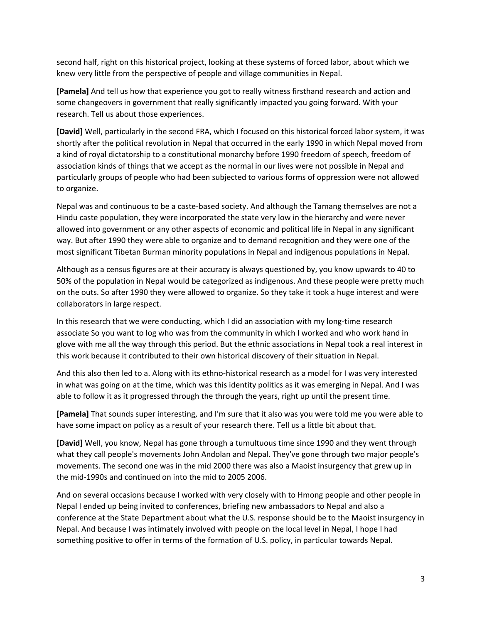second half, right on this historical project, looking at these systems of forced labor, about which we knew very little from the perspective of people and village communities in Nepal.

**[Pamela]** And tell us how that experience you got to really witness firsthand research and action and some changeovers in government that really significantly impacted you going forward. With your research. Tell us about those experiences.

**[David]** Well, particularly in the second FRA, which I focused on this historical forced labor system, it was shortly after the political revolution in Nepal that occurred in the early 1990 in which Nepal moved from a kind of royal dictatorship to a constitutional monarchy before 1990 freedom of speech, freedom of association kinds of things that we accept as the normal in our lives were not possible in Nepal and particularly groups of people who had been subjected to various forms of oppression were not allowed to organize.

Nepal was and continuous to be a caste-based society. And although the Tamang themselves are not a Hindu caste population, they were incorporated the state very low in the hierarchy and were never allowed into government or any other aspects of economic and political life in Nepal in any significant way. But after 1990 they were able to organize and to demand recognition and they were one of the most significant Tibetan Burman minority populations in Nepal and indigenous populations in Nepal.

Although as a census figures are at their accuracy is always questioned by, you know upwards to 40 to 50% of the population in Nepal would be categorized as indigenous. And these people were pretty much on the outs. So after 1990 they were allowed to organize. So they take it took a huge interest and were collaborators in large respect.

In this research that we were conducting, which I did an association with my long-time research associate So you want to log who was from the community in which I worked and who work hand in glove with me all the way through this period. But the ethnic associations in Nepal took a real interest in this work because it contributed to their own historical discovery of their situation in Nepal.

And this also then led to a. Along with its ethno-historical research as a model for I was very interested in what was going on at the time, which was this identity politics as it was emerging in Nepal. And I was able to follow it as it progressed through the through the years, right up until the present time.

**[Pamela]** That sounds super interesting, and I'm sure that it also was you were told me you were able to have some impact on policy as a result of your research there. Tell us a little bit about that.

**[David]** Well, you know, Nepal has gone through a tumultuous time since 1990 and they went through what they call people's movements John Andolan and Nepal. They've gone through two major people's movements. The second one was in the mid 2000 there was also a Maoist insurgency that grew up in the mid-1990s and continued on into the mid to 2005 2006.

And on several occasions because I worked with very closely with to Hmong people and other people in Nepal I ended up being invited to conferences, briefing new ambassadors to Nepal and also a conference at the State Department about what the U.S. response should be to the Maoist insurgency in Nepal. And because I was intimately involved with people on the local level in Nepal, I hope I had something positive to offer in terms of the formation of U.S. policy, in particular towards Nepal.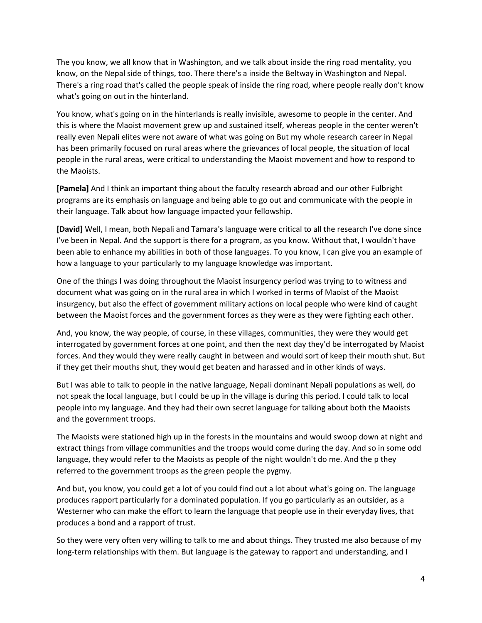The you know, we all know that in Washington, and we talk about inside the ring road mentality, you know, on the Nepal side of things, too. There there's a inside the Beltway in Washington and Nepal. There's a ring road that's called the people speak of inside the ring road, where people really don't know what's going on out in the hinterland.

You know, what's going on in the hinterlands is really invisible, awesome to people in the center. And this is where the Maoist movement grew up and sustained itself, whereas people in the center weren't really even Nepali elites were not aware of what was going on But my whole research career in Nepal has been primarily focused on rural areas where the grievances of local people, the situation of local people in the rural areas, were critical to understanding the Maoist movement and how to respond to the Maoists.

**[Pamela]** And I think an important thing about the faculty research abroad and our other Fulbright programs are its emphasis on language and being able to go out and communicate with the people in their language. Talk about how language impacted your fellowship.

**[David]** Well, I mean, both Nepali and Tamara's language were critical to all the research I've done since I've been in Nepal. And the support is there for a program, as you know. Without that, I wouldn't have been able to enhance my abilities in both of those languages. To you know, I can give you an example of how a language to your particularly to my language knowledge was important.

One of the things I was doing throughout the Maoist insurgency period was trying to to witness and document what was going on in the rural area in which I worked in terms of Maoist of the Maoist insurgency, but also the effect of government military actions on local people who were kind of caught between the Maoist forces and the government forces as they were as they were fighting each other.

And, you know, the way people, of course, in these villages, communities, they were they would get interrogated by government forces at one point, and then the next day they'd be interrogated by Maoist forces. And they would they were really caught in between and would sort of keep their mouth shut. But if they get their mouths shut, they would get beaten and harassed and in other kinds of ways.

But I was able to talk to people in the native language, Nepali dominant Nepali populations as well, do not speak the local language, but I could be up in the village is during this period. I could talk to local people into my language. And they had their own secret language for talking about both the Maoists and the government troops.

The Maoists were stationed high up in the forests in the mountains and would swoop down at night and extract things from village communities and the troops would come during the day. And so in some odd language, they would refer to the Maoists as people of the night wouldn't do me. And the p they referred to the government troops as the green people the pygmy.

And but, you know, you could get a lot of you could find out a lot about what's going on. The language produces rapport particularly for a dominated population. If you go particularly as an outsider, as a Westerner who can make the effort to learn the language that people use in their everyday lives, that produces a bond and a rapport of trust.

So they were very often very willing to talk to me and about things. They trusted me also because of my long-term relationships with them. But language is the gateway to rapport and understanding, and I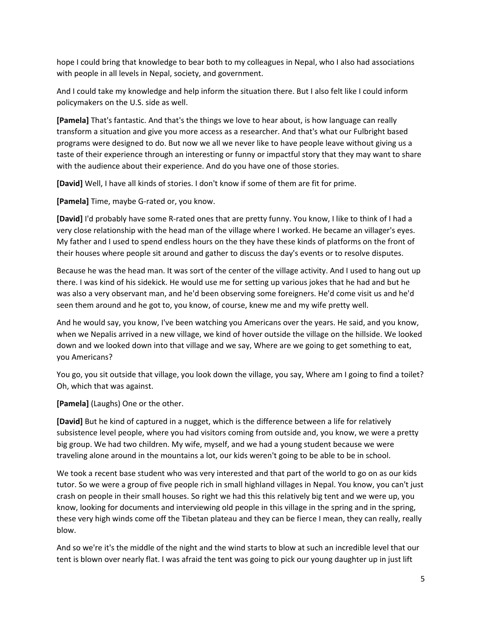hope I could bring that knowledge to bear both to my colleagues in Nepal, who I also had associations with people in all levels in Nepal, society, and government.

And I could take my knowledge and help inform the situation there. But I also felt like I could inform policymakers on the U.S. side as well.

**[Pamela]** That's fantastic. And that's the things we love to hear about, is how language can really transform a situation and give you more access as a researcher. And that's what our Fulbright based programs were designed to do. But now we all we never like to have people leave without giving us a taste of their experience through an interesting or funny or impactful story that they may want to share with the audience about their experience. And do you have one of those stories.

**[David]** Well, I have all kinds of stories. I don't know if some of them are fit for prime.

**[Pamela]** Time, maybe G-rated or, you know.

**[David]** I'd probably have some R-rated ones that are pretty funny. You know, I like to think of I had a very close relationship with the head man of the village where I worked. He became an villager's eyes. My father and I used to spend endless hours on the they have these kinds of platforms on the front of their houses where people sit around and gather to discuss the day's events or to resolve disputes.

Because he was the head man. It was sort of the center of the village activity. And I used to hang out up there. I was kind of his sidekick. He would use me for setting up various jokes that he had and but he was also a very observant man, and he'd been observing some foreigners. He'd come visit us and he'd seen them around and he got to, you know, of course, knew me and my wife pretty well.

And he would say, you know, I've been watching you Americans over the years. He said, and you know, when we Nepalis arrived in a new village, we kind of hover outside the village on the hillside. We looked down and we looked down into that village and we say, Where are we going to get something to eat, you Americans?

You go, you sit outside that village, you look down the village, you say, Where am I going to find a toilet? Oh, which that was against.

**[Pamela]** (Laughs) One or the other.

**[David]** But he kind of captured in a nugget, which is the difference between a life for relatively subsistence level people, where you had visitors coming from outside and, you know, we were a pretty big group. We had two children. My wife, myself, and we had a young student because we were traveling alone around in the mountains a lot, our kids weren't going to be able to be in school.

We took a recent base student who was very interested and that part of the world to go on as our kids tutor. So we were a group of five people rich in small highland villages in Nepal. You know, you can't just crash on people in their small houses. So right we had this this relatively big tent and we were up, you know, looking for documents and interviewing old people in this village in the spring and in the spring, these very high winds come off the Tibetan plateau and they can be fierce I mean, they can really, really blow.

And so we're it's the middle of the night and the wind starts to blow at such an incredible level that our tent is blown over nearly flat. I was afraid the tent was going to pick our young daughter up in just lift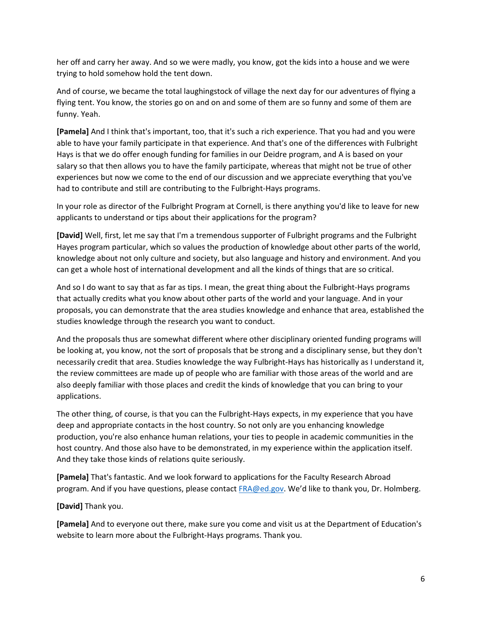her off and carry her away. And so we were madly, you know, got the kids into a house and we were trying to hold somehow hold the tent down.

And of course, we became the total laughingstock of village the next day for our adventures of flying a flying tent. You know, the stories go on and on and some of them are so funny and some of them are funny. Yeah.

**[Pamela]** And I think that's important, too, that it's such a rich experience. That you had and you were able to have your family participate in that experience. And that's one of the differences with Fulbright Hays is that we do offer enough funding for families in our Deidre program, and A is based on your salary so that then allows you to have the family participate, whereas that might not be true of other experiences but now we come to the end of our discussion and we appreciate everything that you've had to contribute and still are contributing to the Fulbright-Hays programs.

In your role as director of the Fulbright Program at Cornell, is there anything you'd like to leave for new applicants to understand or tips about their applications for the program?

**[David]** Well, first, let me say that I'm a tremendous supporter of Fulbright programs and the Fulbright Hayes program particular, which so values the production of knowledge about other parts of the world, knowledge about not only culture and society, but also language and history and environment. And you can get a whole host of international development and all the kinds of things that are so critical.

And so I do want to say that as far as tips. I mean, the great thing about the Fulbright-Hays programs that actually credits what you know about other parts of the world and your language. And in your proposals, you can demonstrate that the area studies knowledge and enhance that area, established the studies knowledge through the research you want to conduct.

And the proposals thus are somewhat different where other disciplinary oriented funding programs will be looking at, you know, not the sort of proposals that be strong and a disciplinary sense, but they don't necessarily credit that area. Studies knowledge the way Fulbright-Hays has historically as I understand it, the review committees are made up of people who are familiar with those areas of the world and are also deeply familiar with those places and credit the kinds of knowledge that you can bring to your applications.

The other thing, of course, is that you can the Fulbright-Hays expects, in my experience that you have deep and appropriate contacts in the host country. So not only are you enhancing knowledge production, you're also enhance human relations, your ties to people in academic communities in the host country. And those also have to be demonstrated, in my experience within the application itself. And they take those kinds of relations quite seriously.

**[Pamela]** That's fantastic. And we look forward to applications for the Faculty Research Abroad program. And if you have questions, please contact [FRA@ed.gov.](mailto:FRA@ed.gov) We'd like to thank you, Dr. Holmberg.

**[David]** Thank you.

**[Pamela]** And to everyone out there, make sure you come and visit us at the Department of Education's website to learn more about the Fulbright-Hays programs. Thank you.